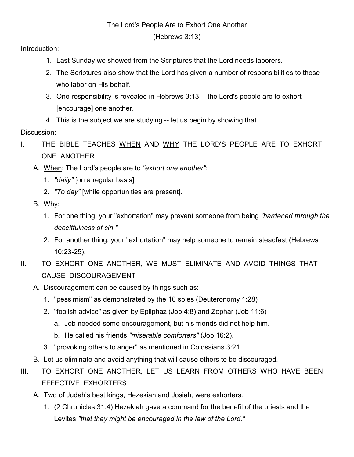## The Lord's People Are to Exhort One Another

(Hebrews 3:13)

Introduction:

- 1. Last Sunday we showed from the Scriptures that the Lord needs laborers.
- 2. The Scriptures also show that the Lord has given a number of responsibilities to those who labor on His behalf.
- 3. One responsibility is revealed in Hebrews 3:13 -- the Lord's people are to exhort [encourage] one another.
- 4. This is the subject we are studying -- let us begin by showing that ...

## Discussion:

- I. THE BIBLE TEACHES WHEN AND WHY THE LORD'S PEOPLE ARE TO EXHORT ONE ANOTHER
	- A. When: The Lord's people are to *"exhort one another"*:
		- 1. *"daily"* [on a regular basis]
		- 2. *"To day"* [while opportunities are present].
	- B. Why:
		- 1. For one thing, your "exhortation" may prevent someone from being *"hardened through the deceitfulness of sin."*
		- 2. For another thing, your "exhortation" may help someone to remain steadfast (Hebrews 10:23-25).
- II. TO EXHORT ONE ANOTHER, WE MUST ELIMINATE AND AVOID THINGS THAT CAUSE DISCOURAGEMENT
	- A. Discouragement can be caused by things such as:
		- 1. "pessimism" as demonstrated by the 10 spies (Deuteronomy 1:28)
		- 2. "foolish advice" as given by Epliphaz (Job 4:8) and Zophar (Job 11:6)
			- a. Job needed some encouragement, but his friends did not help him.
			- b. He called his friends *"miserable comforters"* (Job 16:2).
		- 3. "provoking others to anger" as mentioned in Colossians 3:21.
	- B. Let us eliminate and avoid anything that will cause others to be discouraged.
- III. TO EXHORT ONE ANOTHER, LET US LEARN FROM OTHERS WHO HAVE BEEN EFFECTIVE EXHORTERS
	- A. Two of Judah's best kings, Hezekiah and Josiah, were exhorters.
		- 1. (2 Chronicles 31:4) Hezekiah gave a command for the benefit of the priests and the Levites *"that they might be encouraged in the law of the Lord."*